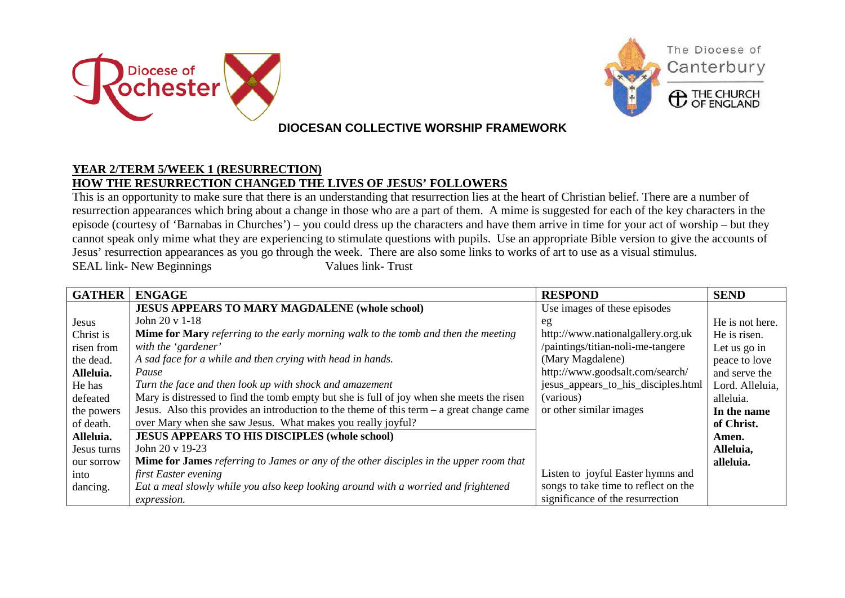



## **DIOCESAN COLLECTIVE WORSHIP FRAMEWORK**

## **YEAR 2/TERM 5/WEEK 1 (RESURRECTION) HOW THE RESURRECTION CHANGED THE LIVES OF JESUS' FOLLOWERS**

This is an opportunity to make sure that there is an understanding that resurrection lies at the heart of Christian belief. There are a number of resurrection appearances which bring about a change in those who are a part of them. A mime is suggested for each of the key characters in the episode (courtesy of 'Barnabas in Churches') – you could dress up the characters and have them arrive in time for your act of worship – but they cannot speak only mime what they are experiencing to stimulate questions with pupils. Use an appropriate Bible version to give the accounts of Jesus' resurrection appearances as you go through the week. There are also some links to works of art to use as a visual stimulus. SEAL link- New Beginnings Values link- Trust

| <b>GATHER</b> | <b>ENGAGE</b>                                                                                 | <b>RESPOND</b>                       | <b>SEND</b>     |
|---------------|-----------------------------------------------------------------------------------------------|--------------------------------------|-----------------|
|               | <b>JESUS APPEARS TO MARY MAGDALENE (whole school)</b>                                         | Use images of these episodes         |                 |
| Jesus         | John 20 v 1-18                                                                                | eg                                   | He is not here. |
| Christ is     | Mime for Mary referring to the early morning walk to the tomb and then the meeting            | http://www.nationalgallery.org.uk    | He is risen.    |
| risen from    | with the 'gardener'                                                                           | /paintings/titian-noli-me-tangere    | Let us go in    |
| the dead.     | A sad face for a while and then crying with head in hands.                                    | (Mary Magdalene)                     | peace to love   |
| Alleluia.     | Pause                                                                                         | http://www.goodsalt.com/search/      | and serve the   |
| He has        | Turn the face and then look up with shock and amazement                                       | jesus_appears_to_his_disciples.html  | Lord. Alleluia, |
| defeated      | Mary is distressed to find the tomb empty but she is full of joy when she meets the risen     | (various)                            | alleluia.       |
| the powers    | Jesus. Also this provides an introduction to the theme of this term – a great change came     | or other similar images              | In the name     |
| of death.     | over Mary when she saw Jesus. What makes you really joyful?                                   |                                      | of Christ.      |
| Alleluia.     | <b>JESUS APPEARS TO HIS DISCIPLES (whole school)</b>                                          |                                      | Amen.           |
| Jesus turns   | John $20 \times 19 - 23$                                                                      |                                      | Alleluia,       |
| our sorrow    | <b>Mime for James</b> referring to James or any of the other disciples in the upper room that |                                      | alleluia.       |
| into          | first Easter evening                                                                          | Listen to joyful Easter hymns and    |                 |
| dancing.      | Eat a meal slowly while you also keep looking around with a worried and frightened            | songs to take time to reflect on the |                 |
|               | expression.                                                                                   | significance of the resurrection     |                 |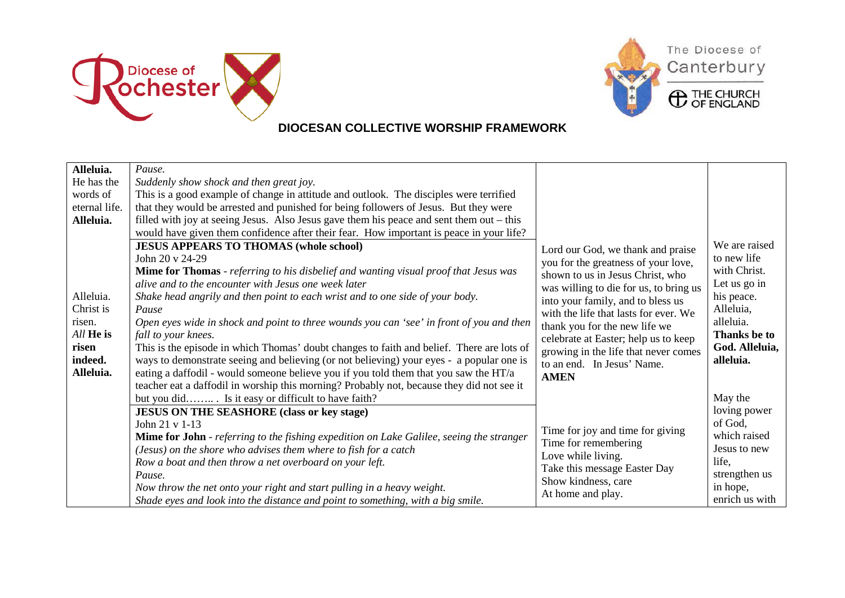



## **DIOCESAN COLLECTIVE WORSHIP FRAMEWORK**

| Alleluia.     | Pause.                                                                                          |                                        |                |
|---------------|-------------------------------------------------------------------------------------------------|----------------------------------------|----------------|
| He has the    | Suddenly show shock and then great joy.                                                         |                                        |                |
| words of      | This is a good example of change in attitude and outlook. The disciples were terrified          |                                        |                |
| eternal life. | that they would be arrested and punished for being followers of Jesus. But they were            |                                        |                |
| Alleluia.     | filled with joy at seeing Jesus. Also Jesus gave them his peace and sent them out – this        |                                        |                |
|               | would have given them confidence after their fear. How important is peace in your life?         |                                        |                |
|               | <b>JESUS APPEARS TO THOMAS (whole school)</b>                                                   | Lord our God, we thank and praise      | We are raised  |
|               | John 20 v 24-29                                                                                 | you for the greatness of your love,    | to new life    |
|               | <b>Mime for Thomas</b> - referring to his disbelief and wanting visual proof that Jesus was     | shown to us in Jesus Christ, who       | with Christ.   |
|               | alive and to the encounter with Jesus one week later                                            | was willing to die for us, to bring us | Let us go in   |
| Alleluia.     | Shake head angrily and then point to each wrist and to one side of your body.                   | into your family, and to bless us      | his peace.     |
| Christ is     | Pause                                                                                           | with the life that lasts for ever. We  | Alleluia,      |
| risen.        | Open eyes wide in shock and point to three wounds you can 'see' in front of you and then        | thank you for the new life we          | alleluia.      |
| All He is     | fall to your knees.                                                                             | celebrate at Easter; help us to keep   | Thanks be to   |
| risen         | This is the episode in which Thomas' doubt changes to faith and belief. There are lots of       | growing in the life that never comes   | God. Alleluia, |
| indeed.       | ways to demonstrate seeing and believing (or not believing) your eyes - a popular one is        | to an end. In Jesus' Name.             | alleluia.      |
| Alleluia.     | eating a daffodil - would someone believe you if you told them that you saw the $HT/a$          | <b>AMEN</b>                            |                |
|               | teacher eat a daffodil in worship this morning? Probably not, because they did not see it       |                                        |                |
|               | but you did Is it easy or difficult to have faith?                                              |                                        | May the        |
|               | <b>JESUS ON THE SEASHORE (class or key stage)</b>                                               |                                        | loving power   |
|               | John 21 v 1-13                                                                                  | Time for joy and time for giving       | of God,        |
|               | <b>Mime for John</b> - referring to the fishing expedition on Lake Galilee, seeing the stranger | Time for remembering                   | which raised   |
|               | (Jesus) on the shore who advises them where to fish for a catch                                 | Love while living.                     | Jesus to new   |
|               | Row a boat and then throw a net overboard on your left.                                         | Take this message Easter Day           | life.          |
|               | Pause.                                                                                          | Show kindness, care                    | strengthen us  |
|               | Now throw the net onto your right and start pulling in a heavy weight.                          | At home and play.                      | in hope,       |
|               | Shade eyes and look into the distance and point to something, with a big smile.                 |                                        | enrich us with |